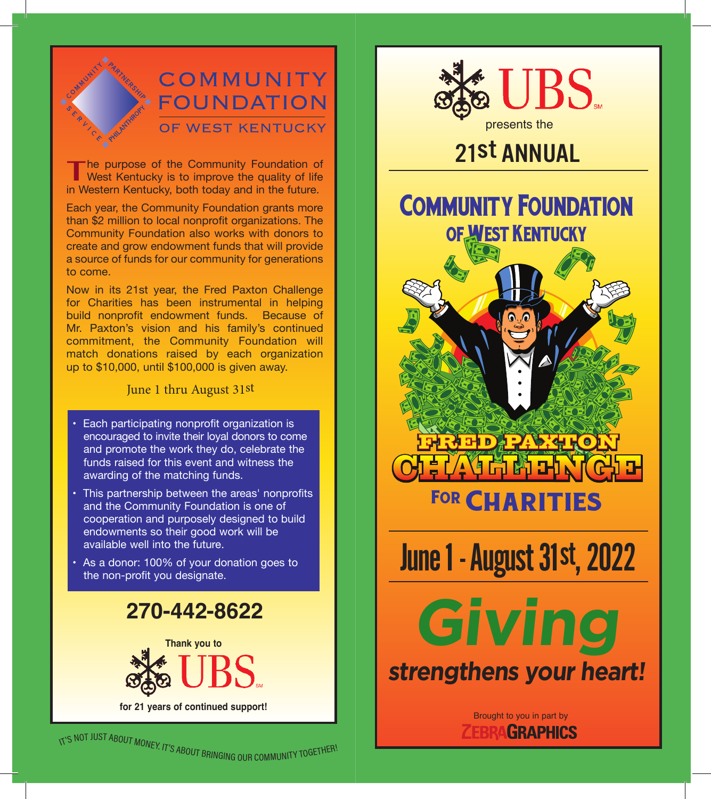

The purpose of the Community Foundation of West Kentucky is to improve the quality of life in Western Kentucky, both today and in the future. West Kentucky is to improve the quality of life in Western Kentucky, both today and in the future.

Each year, the Community Foundation grants more than \$2 million to local nonprofit organizations. The Community Foundation also works with donors to create and grow endowment funds that will provide a source of funds for our community for generations to come.

Now in its 21st year, the Fred Paxton Challenge for Charities has been instrumental in helping build nonprofit endowment funds. Because of Mr. Paxton's vision and his family's continued commitment, the Community Foundation will match donations raised by each organization up to \$10,000, until \$100,000 is given away.

#### June 1 thru August 31st

- Each participating nonprofit organization is encouraged to invite their loyal donors to come and promote the work they do, celebrate the funds raised for this event and witness the awarding of the matching funds.
- This partnership between the areas' nonprofits and the Community Foundation is one of cooperation and purposely designed to build endowments so their good work will be available well into the future.
- As a donor: 100% of your donation goes to the non-profit you designate.

### **270-442-8622**



**for 21 years of continued support!**



## **COMMUNITY FOUNDATION** of West Kentucky



## June 1 - August 31st, 2022

# **Giving strengthens your heart!**

Brought to you in part by **GRAPHICS** 

 $\sqrt{\pi}$ 'S NOT JUST ABOUT MONEY. IT'S ABOUT BRINGING OUR COMMUNITY TOGETHER!